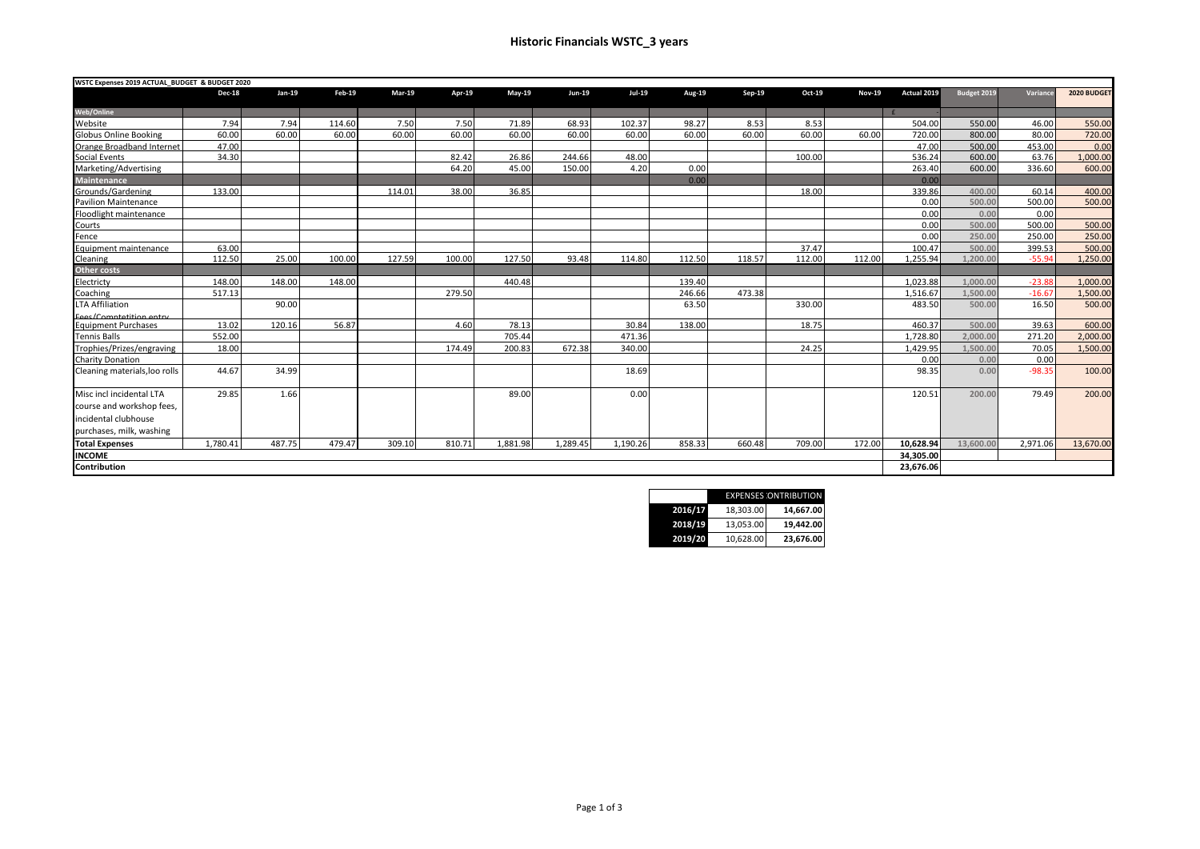## **Historic Financials WSTC\_3 years**

| WSTC Expenses 2019 ACTUAL_BUDGET & BUDGET 2020 |               |          |        |               |        |          |               |          |        |        |        |               |             |             |          |             |
|------------------------------------------------|---------------|----------|--------|---------------|--------|----------|---------------|----------|--------|--------|--------|---------------|-------------|-------------|----------|-------------|
|                                                | <b>Dec-18</b> | $Jan-19$ | Feb-19 | <b>Mar-19</b> | Apr-19 | May-19   | <b>Jun-19</b> | Jul-19   | Aug-19 | Sep-19 | Oct-19 | <b>Nov-19</b> | Actual 2019 | Budget 2019 | Variance | 2020 BUDGET |
| <b>Web/Online</b>                              |               |          |        |               |        |          |               |          |        |        |        |               |             |             |          |             |
| Website                                        | 7.94          | 7.94     | 114.60 | 7.50          | 7.50   | 71.89    | 68.93         | 102.37   | 98.27  | 8.53   | 8.53   |               | 504.00      | 550.00      | 46.00    | 550.00      |
| <b>Globus Online Booking</b>                   | 60.00         | 60.00    | 60.00  | 60.00         | 60.00  | 60.00    | 60.00         | 60.00    | 60.00  | 60.00  | 60.00  | 60.00         | 720.00      | 800.00      | 80.00    | 720.00      |
| Orange Broadband Internet                      | 47.00         |          |        |               |        |          |               |          |        |        |        |               | 47.00       | 500.00      | 453.00   | 0.00        |
| <b>Social Events</b>                           | 34.30         |          |        |               | 82.42  | 26.86    | 244.66        | 48.00    |        |        | 100.00 |               | 536.24      | 600.00      | 63.76    | 1,000.00    |
| Marketing/Advertising                          |               |          |        |               | 64.20  | 45.00    | 150.00        | 4.20     | 0.00   |        |        |               | 263.40      | 600.00      | 336.60   | 600.00      |
| <b>Maintenance</b>                             |               |          |        |               |        |          |               |          | 0.00   |        |        |               | 0.00        |             |          |             |
| Grounds/Gardening                              | 133.00        |          |        | 114.01        | 38.00  | 36.85    |               |          |        |        | 18.00  |               | 339.86      | 400.00      | 60.14    | 400.00      |
| <b>Pavilion Maintenance</b>                    |               |          |        |               |        |          |               |          |        |        |        |               | 0.00        | 500.00      | 500.00   | 500.00      |
| Floodlight maintenance                         |               |          |        |               |        |          |               |          |        |        |        |               | 0.00        | 0.00        | 0.00     |             |
| Courts                                         |               |          |        |               |        |          |               |          |        |        |        |               | 0.00        | 500.00      | 500.00   | 500.00      |
| Fence                                          |               |          |        |               |        |          |               |          |        |        |        |               | 0.00        | 250.00      | 250.00   | 250.00      |
| Equipment maintenance                          | 63.00         |          |        |               |        |          |               |          |        |        | 37.47  |               | 100.47      | 500.00      | 399.53   | 500.00      |
| Cleaning                                       | 112.50        | 25.00    | 100.00 | 127.59        | 100.00 | 127.50   | 93.48         | 114.80   | 112.50 | 118.57 | 112.00 | 112.00        | 1,255.94    | 1,200.00    | $-55.94$ | 1,250.00    |
| <b>Other costs</b>                             |               |          |        |               |        |          |               |          |        |        |        |               |             |             |          |             |
| Electricty                                     | 148.00        | 148.00   | 148.00 |               |        | 440.48   |               |          | 139.40 |        |        |               | 1.023.88    | 1.000.00    | $-23.88$ | 1,000.00    |
| Coaching                                       | 517.13        |          |        |               | 279.50 |          |               |          | 246.66 | 473.38 |        |               | 1,516.67    | 1,500.00    | $-16.67$ | 1,500.00    |
| <b>LTA Affiliation</b>                         |               | 90.00    |        |               |        |          |               |          | 63.50  |        | 330.00 |               | 483.50      | 500.00      | 16.50    | 500.00      |
| Fees/Comptetition entry                        |               |          |        |               |        |          |               |          |        |        |        |               |             |             |          |             |
| <b>Equipment Purchases</b>                     | 13.02         | 120.16   | 56.87  |               | 4.60   | 78.13    |               | 30.84    | 138.00 |        | 18.75  |               | 460.37      | 500.00      | 39.63    | 600.00      |
| <b>Tennis Balls</b>                            | 552.00        |          |        |               |        | 705.44   |               | 471.36   |        |        |        |               | 1,728.80    | 2,000.00    | 271.20   | 2,000.00    |
| Trophies/Prizes/engraving                      | 18.00         |          |        |               | 174.49 | 200.83   | 672.38        | 340.00   |        |        | 24.25  |               | 1,429.95    | 1,500.00    | 70.05    | 1,500.00    |
| <b>Charity Donation</b>                        |               |          |        |               |        |          |               |          |        |        |        |               | 0.00        | 0.00        | 0.00     |             |
| Cleaning materials, loo rolls                  | 44.67         | 34.99    |        |               |        |          |               | 18.69    |        |        |        |               | 98.35       | 0.00        | $-98.35$ | 100.00      |
| Misc incl incidental LTA                       | 29.85         | 1.66     |        |               |        | 89.00    |               | 0.00     |        |        |        |               | 120.51      | 200.00      | 79.49    | 200.00      |
| course and workshop fees,                      |               |          |        |               |        |          |               |          |        |        |        |               |             |             |          |             |
| incidental clubhouse                           |               |          |        |               |        |          |               |          |        |        |        |               |             |             |          |             |
| purchases, milk, washing                       |               |          |        |               |        |          |               |          |        |        |        |               |             |             |          |             |
| <b>Total Expenses</b>                          | 1.780.41      | 487.75   | 479.47 | 309.10        | 810.71 | 1.881.98 | 1,289.45      | 1,190.26 | 858.33 | 660.48 | 709.00 | 172.00        | 10,628.94   | 13,600.00   | 2,971.06 | 13,670.00   |
| <b>INCOME</b>                                  |               |          |        |               |        |          |               |          |        |        |        |               | 34.305.00   |             |          |             |
| Contribution                                   |               |          |        |               |        |          |               |          |        |        |        |               | 23,676.06   |             |          |             |

|         | <b>EXPENSES ONTRIBUTION</b> |           |  |  |  |  |  |  |
|---------|-----------------------------|-----------|--|--|--|--|--|--|
| 2016/17 | 18.303.00                   | 14,667.00 |  |  |  |  |  |  |
| 2018/19 | 13.053.00                   | 19,442.00 |  |  |  |  |  |  |
| 2019/20 | 10.628.00                   | 23,676.00 |  |  |  |  |  |  |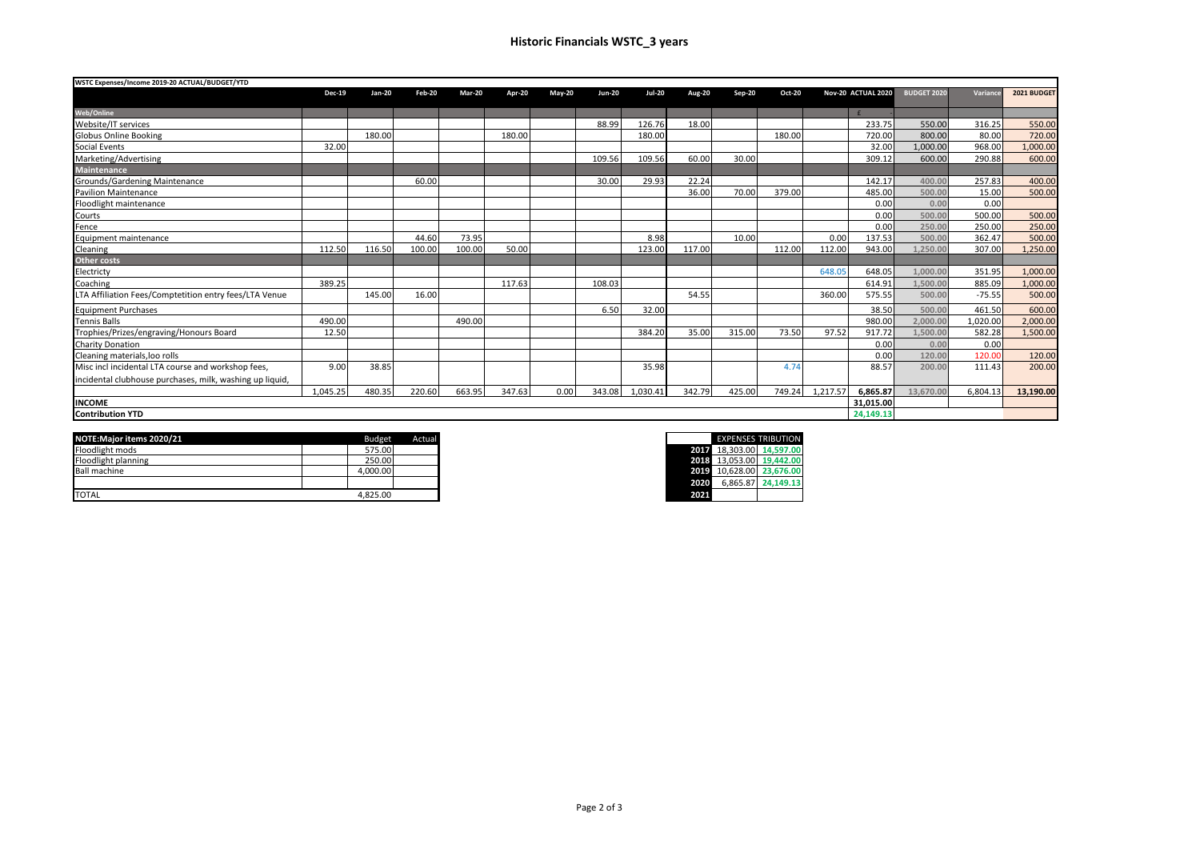| WSTC Expenses/Income 2019-20 ACTUAL/BUDGET/YTD           |               |        |               |               |        |               |               |               |        |               |               |           |                    |                    |          |             |
|----------------------------------------------------------|---------------|--------|---------------|---------------|--------|---------------|---------------|---------------|--------|---------------|---------------|-----------|--------------------|--------------------|----------|-------------|
|                                                          | <b>Dec-19</b> | Jan-20 | <b>Feb-20</b> | <b>Mar-20</b> | Apr-20 | <b>Mav-20</b> | <b>Jun-20</b> | <b>Jul-20</b> | Aug-20 | <b>Sep-20</b> | <b>Oct-20</b> |           | Nov-20 ACTUAL 2020 | <b>BUDGET 2020</b> | Variance | 2021 BUDGET |
| Web/Online                                               |               |        |               |               |        |               |               |               |        |               |               |           |                    |                    |          |             |
| Website/IT services                                      |               |        |               |               |        |               | 88.99         | 126.76        | 18.00  |               |               |           | 233.75             | 550.00             | 316.25   | 550.00      |
| <b>Globus Online Booking</b>                             |               | 180.00 |               |               | 180.00 |               |               | 180.00        |        |               | 180.00        |           | 720.00             | 800.00             | 80.00    | 720.00      |
| Social Events                                            | 32.00         |        |               |               |        |               |               |               |        |               |               |           | 32.00              | 1.000.00           | 968.00   | 1,000.00    |
| Marketing/Advertising                                    |               |        |               |               |        |               | 109.56        | 109.56        | 60.00  | 30.00         |               |           | 309.12             | 600.00             | 290.88   | 600.00      |
| <b>Maintenance</b>                                       |               |        |               |               |        |               |               |               |        |               |               |           |                    |                    |          |             |
| Grounds/Gardening Maintenance                            |               |        | 60.00         |               |        |               | 30.00         | 29.93         | 22.24  |               |               |           | 142.17             | 400.00             | 257.83   | 400.00      |
| <b>Pavilion Maintenance</b>                              |               |        |               |               |        |               |               |               | 36.00  | 70.00         | 379.00        |           | 485.00             | 500.00             | 15.00    | 500.00      |
| Floodlight maintenance                                   |               |        |               |               |        |               |               |               |        |               |               |           | 0.00               | 0.00               | 0.00     |             |
| Courts                                                   |               |        |               |               |        |               |               |               |        |               |               |           | 0.00               | 500.00             | 500.00   | 500.00      |
| Fence                                                    |               |        |               |               |        |               |               |               |        |               |               |           | 0.00               | 250.00             | 250.00   | 250.00      |
| Equipment maintenance                                    |               |        | 44.60         | 73.95         |        |               |               | 8.98          |        | 10.00         |               | 0.00      | 137.53             | 500.00             | 362.47   | 500.00      |
| Cleaning                                                 | 112.50        | 116.50 | 100.00        | 100.00        | 50.00  |               |               | 123.00        | 117.00 |               | 112.00        | 112.00    | 943.00             | 1.250.00           | 307.00   | 1,250.00    |
| <b>Other costs</b>                                       |               |        |               |               |        |               |               |               |        |               |               |           |                    |                    |          |             |
| Electricty                                               |               |        |               |               |        |               |               |               |        |               |               | 648.05    | 648.05             | 1.000.00           | 351.95   | 1,000.00    |
| Coaching                                                 | 389.25        |        |               |               | 117.63 |               | 108.03        |               |        |               |               |           | 614.91             | 1.500.00           | 885.09   | 1,000.00    |
| LTA Affiliation Fees/Comptetition entry fees/LTA Venue   |               | 145.00 | 16.00         |               |        |               |               |               | 54.55  |               |               | 360.00    | 575.55             | 500.00             | $-75.55$ | 500.00      |
| <b>Equipment Purchases</b>                               |               |        |               |               |        |               | 6.50          | 32.00         |        |               |               |           | 38.50              | 500.00             | 461.50   | 600.00      |
| <b>Tennis Balls</b>                                      | 490.00        |        |               | 490.00        |        |               |               |               |        |               |               |           | 980.00             | 2.000.00           | 1.020.00 | 2,000.00    |
| Trophies/Prizes/engraving/Honours Board                  | 12.50         |        |               |               |        |               |               | 384.20        | 35.00  | 315.00        | 73.50         | 97.52     | 917.72             | L.500.00           | 582.28   | 1,500.00    |
| <b>Charity Donation</b>                                  |               |        |               |               |        |               |               |               |        |               |               |           | 0.00               | 0.00               | 0.00     |             |
| Cleaning materials.loo rolls                             |               |        |               |               |        |               |               |               |        |               |               |           | 0.00               | 120.00             | 120.00   | 120.00      |
| Misc incl incidental LTA course and workshop fees,       | 9.00          | 38.85  |               |               |        |               |               | 35.98         |        |               | 4.74          |           | 88.57              | 200.00             | 111.43   | 200.00      |
| incidental clubhouse purchases, milk, washing up liquid, |               |        |               |               |        |               |               |               |        |               |               |           |                    |                    |          |             |
|                                                          | 1.045.25      | 480.35 | 220.60        | 663.95        | 347.63 | 0.00          | 343.08        | 1.030.41      | 342.79 | 425.00        | 749.24        | 1.217.57  | 6.865.87           | 13,670.00          | 6.804.13 | 13,190.00   |
| <b>INCOME</b>                                            |               |        |               |               |        |               |               |               |        |               |               | 31,015.00 |                    |                    |          |             |
| <b>Contribution YTD</b>                                  |               |        |               |               |        |               |               |               |        |               | 24,149.13     |           |                    |                    |          |             |

| NOTE: Major items 2020/21 | <b>Budget</b> | Actual |
|---------------------------|---------------|--------|
| Floodlight mods           | 575.00        |        |
| Floodlight planning       | 250.00        |        |
| <b>Ball machine</b>       | 4.000.00      |        |
|                           |               |        |
| <b>TOTAL</b>              | 4.825.00      |        |

|      |          | <b>EXPENSES TRIBUTION</b> |
|------|----------|---------------------------|
| 2017 |          | 18.303.00 14.597.00       |
| 2018 |          | 13.053.00 19.442.00       |
| 2019 |          | 10,628.00 23,676.00       |
| 2020 | 6.865.87 | 24,149.13                 |
| 2021 |          |                           |